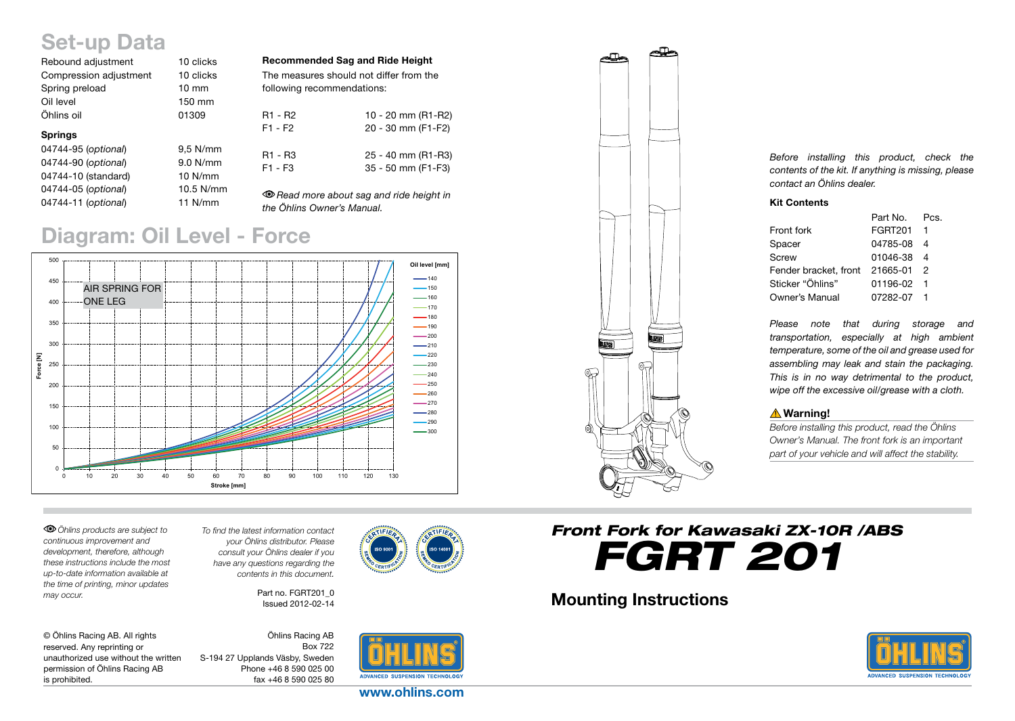# Set-up Data

| Rebound adjustment     | 10 clicks       |  |
|------------------------|-----------------|--|
| Compression adjustment | 10 clicks       |  |
| Spring preload         | $10 \text{ mm}$ |  |
| Oil level              | 150 mm          |  |
| Öhlins oil             | 01309           |  |
| <b>Springs</b>         |                 |  |
| 04744-95 (optional)    | $9.5$ N/mm      |  |
| 04744-90 (optional)    | 9.0 N/mm        |  |
| 04744-10 (standard)    | 10 N/mm         |  |
| 04744-05 (optional)    | 10.5 N/mm       |  |

04744-11 (*optional*) 11 N/mm

| <b>Recommended Sag and Ride Height</b> |                                         |  |  |
|----------------------------------------|-----------------------------------------|--|--|
|                                        | The measures should not differ from the |  |  |
| following recommendations:             |                                         |  |  |
|                                        |                                         |  |  |
| R1 - R2                                | 10 - 20 mm (R1-R2)                      |  |  |

 $F1 - F2$ 

|  | 10 - 20 111111 111121<br>20 - 30 mm (F1-F2)      |
|--|--------------------------------------------------|
|  |                                                  |
|  | $\sim$ $\sim$ $\sim$ $\sim$ $\sim$ $\sim$ $\sim$ |

R1 - R3 25 - 40 mm (R1-R3) F1 - F3 35 - 50 mm (F1-F3)

*Read more about sag and ride height in the Öhlins Owner's Manual.*

## Diagram: Oil Level - Force



*Öhlins products are subject to continuous improvement and development, therefore, although these instructions include the most up-to-date information available at the time of printing, minor updates may occur.* 

*To find the latest information contact your Öhlins distributor. Please consult your Öhlins dealer if you have any questions regarding the contents in this document.*

> Part no. FGRT201\_0 Issued 2012-02-14

| © Öhlins Racing AB. All rights       |
|--------------------------------------|
| reserved. Any reprinting or          |
| unauthorized use without the written |
| permission of Öhlins Racing AB       |
| is prohibited.                       |

Öhlins Racing AB Box 722 S-194 27 Upplands Väsby, Sweden Phone +46 8 590 025 00 fax +46 8 590 025 80



www.ohlins.com



*Before installing this product, check the contents of the kit. If anything is missing, please contact an Öhlins dealer.*

#### Kit Contents

|                       | Part No.       | Pos |
|-----------------------|----------------|-----|
| Front fork            | <b>FGRT201</b> |     |
| Spacer                | 04785-08       | Δ   |
| Screw                 | 01046-38       | Δ   |
| Fender bracket, front | 21665-01       | 2   |
| Sticker "Öhlins"      | 01196-02       |     |
| Owner's Manual        | 07282-07       |     |

*Please note that during storage and transportation, especially at high ambient temperature, some of the oil and grease used for assembling may leak and stain the packaging. This is in no way detrimental to the product, wipe off the excessive oil/grease with a cloth.*

#### **△Warning!**

*Before installing this product, read the Öhlins Owner's Manual. The front fork is an important part of your vehicle and will affect the stability.*

*Front Fork for Kawasaki ZX-10R /ABS FGRT 201*

### Mounting Instructions